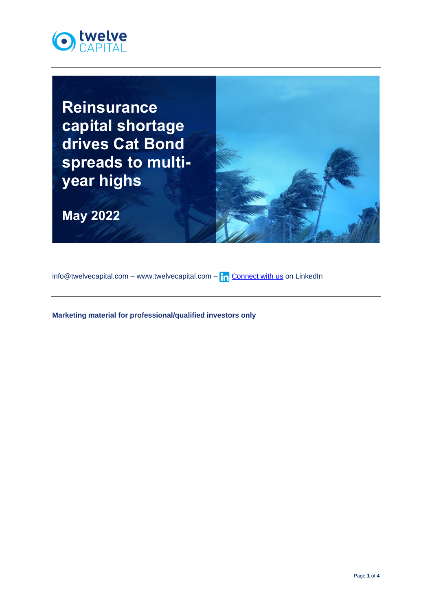

**Reinsurance capital shortage drives Cat Bond spreads to multiyear highs**

**May 2022**



info@twelvecapital.com – www.twelvecapital.com –  $\ln$  [Connect with us](https://www.linkedin.com/company/twelve-capital) on LinkedIn

**Marketing material for professional/qualified investors only**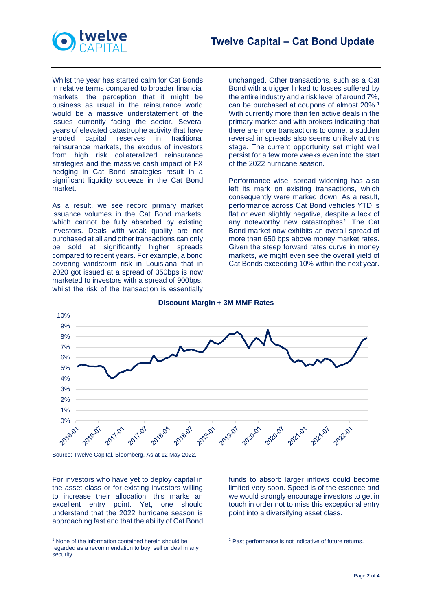



Whilst the year has started calm for Cat Bonds in relative terms compared to broader financial markets, the perception that it might be business as usual in the reinsurance world would be a massive understatement of the issues currently facing the sector. Several years of elevated catastrophe activity that have eroded capital reserves in traditional reinsurance markets, the exodus of investors from high risk collateralized reinsurance strategies and the massive cash impact of FX hedging in Cat Bond strategies result in a significant liquidity squeeze in the Cat Bond market.

As a result, we see record primary market issuance volumes in the Cat Bond markets, which cannot be fully absorbed by existing investors. Deals with weak quality are not purchased at all and other transactions can only be sold at significantly higher spreads compared to recent years. For example, a bond covering windstorm risk in Louisiana that in 2020 got issued at a spread of 350bps is now marketed to investors with a spread of 900bps, whilst the risk of the transaction is essentially

unchanged. Other transactions, such as a Cat Bond with a trigger linked to losses suffered by the entire industry and a risk level of around 7%, can be purchased at coupons of almost 20%.<sup>1</sup> With currently more than ten active deals in the primary market and with brokers indicating that there are more transactions to come, a sudden reversal in spreads also seems unlikely at this stage. The current opportunity set might well persist for a few more weeks even into the start of the 2022 hurricane season.

Performance wise, spread widening has also left its mark on existing transactions, which consequently were marked down. As a result, performance across Cat Bond vehicles YTD is flat or even slightly negative, despite a lack of any noteworthy new catastrophes<sup>2</sup>. The Cat Bond market now exhibits an overall spread of more than 650 bps above money market rates. Given the steep forward rates curve in money markets, we might even see the overall yield of Cat Bonds exceeding 10% within the next year.



## **Discount Margin + 3M MMF Rates**

Source: Twelve Capital, Bloomberg. As at 12 May 2022.

For investors who have yet to deploy capital in the asset class or for existing investors willing to increase their allocation, this marks an excellent entry point. Yet, one should understand that the 2022 hurricane season is approaching fast and that the ability of Cat Bond funds to absorb larger inflows could become limited very soon. Speed is of the essence and we would strongly encourage investors to get in touch in order not to miss this exceptional entry point into a diversifying asset class.

<sup>&</sup>lt;sup>1</sup> None of the information contained herein should be regarded as a recommendation to buy, sell or deal in any security.

<sup>&</sup>lt;sup>2</sup> Past performance is not indicative of future returns.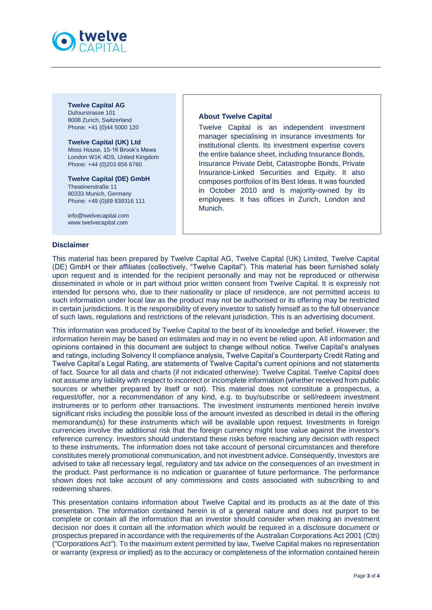

**Twelve Capital AG** Dufourstrasse 101 8008 Zurich, Switzerland Phone: +41 (0)44 5000 120

**Twelve Capital (UK) Ltd** Moss House, 15-16 Brook's Mews London W1K 4DS, United Kingdom Phone: +44 (0)203 856 6760

**Twelve Capital (DE) GmbH** Theatinerstraße 11 80333 Munich, Germany Phone: +49 (0)89 839316 111

[info@twelvecapital.com](mailto:info@twelvecapital.com) [www.twelvecapital.com](http://www.twelvecapital.com/)

## **Disclaimer**

## **About Twelve Capital**

Twelve Capital is an independent investment manager specialising in insurance investments for institutional clients. Its investment expertise covers the entire balance sheet, including Insurance Bonds, Insurance Private Debt, Catastrophe Bonds, Private Insurance-Linked Securities and Equity. It also composes portfolios of its Best Ideas. It was founded in October 2010 and is majority-owned by its employees. It has offices in Zurich, London and Munich.

This material has been prepared by Twelve Capital AG, Twelve Capital (UK) Limited, Twelve Capital (DE) GmbH or their affiliates (collectively, "Twelve Capital"). This material has been furnished solely upon request and is intended for the recipient personally and may not be reproduced or otherwise disseminated in whole or in part without prior written consent from Twelve Capital. It is expressly not intended for persons who, due to their nationality or place of residence, are not permitted access to such information under local law as the product may not be authorised or its offering may be restricted in certain jurisdictions. It is the responsibility of every investor to satisfy himself as to the full observance of such laws, regulations and restrictions of the relevant jurisdiction. This is an advertising document.

This information was produced by Twelve Capital to the best of its knowledge and belief. However, the information herein may be based on estimates and may in no event be relied upon. All information and opinions contained in this document are subject to change without notice. Twelve Capital's analyses and ratings, including Solvency II compliance analysis, Twelve Capital's Counterparty Credit Rating and Twelve Capital's Legal Rating, are statements of Twelve Capital's current opinions and not statements of fact. Source for all data and charts (if not indicated otherwise): Twelve Capital. Twelve Capital does not assume any liability with respect to incorrect or incomplete information (whether received from public sources or whether prepared by itself or not). This material does not constitute a prospectus, a request/offer, nor a recommendation of any kind, e.g. to buy/subscribe or sell/redeem investment instruments or to perform other transactions. The investment instruments mentioned herein involve significant risks including the possible loss of the amount invested as described in detail in the offering memorandum(s) for these instruments which will be available upon request. Investments in foreign currencies involve the additional risk that the foreign currency might lose value against the investor's reference currency. Investors should understand these risks before reaching any decision with respect to these instruments. The information does not take account of personal circumstances and therefore constitutes merely promotional communication, and not investment advice. Consequently, Investors are advised to take all necessary legal, regulatory and tax advice on the consequences of an investment in the product. Past performance is no indication or guarantee of future performance. The performance shown does not take account of any commissions and costs associated with subscribing to and redeeming shares.

This presentation contains information about Twelve Capital and its products as at the date of this presentation. The information contained herein is of a general nature and does not purport to be complete or contain all the information that an investor should consider when making an investment decision nor does it contain all the information which would be required in a disclosure document or prospectus prepared in accordance with the requirements of the Australian Corporations Act 2001 (Cth) ("Corporations Act"). To the maximum extent permitted by law, Twelve Capital makes no representation or warranty (express or implied) as to the accuracy or completeness of the information contained herein